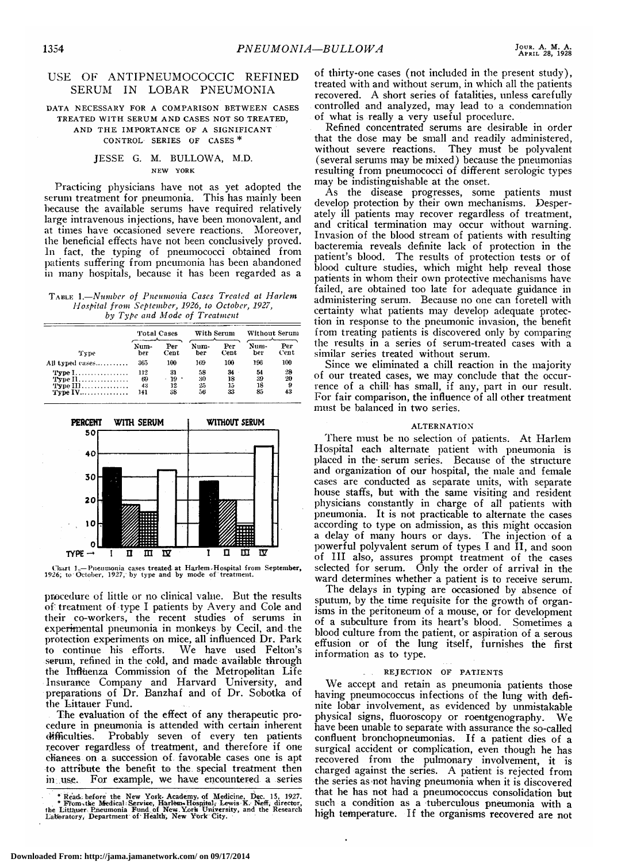# USE OF ANTIPNEUMOCOCCIC REFINED SERUM IN LOBAR PNEUMONIA

#### DATA NECESSARY FOR A COMPARISON BETWEEN CASES TREATED WITH SERUM AND CASES NOT SO TREATED, AND THE IMPORTANCE OF A SIGNIFICANT CONTROL SERIES OF CASES

### JESSE G. M. BULLOWA, M.D. NEW YORK

Practicing physicians have not as yet adopted the serum treatment for pneumonia. This has mainly been because the available serums have required relatively large intravenous injections, have been monovalent, and at times have occasioned severe reactions. Moreover, the beneficial effects have not been conclusively proved. In fact, the typing of pneumococci obtained from patients suffering from pneumonia has been abandoned in many hospitals, because it has been regarded as <sup>a</sup>

Table 1.—Number of Pneumonia Cases Treated at Harlem Hospital from September, 1926, to October, 1927, by Type and Mode of Treatment

|                 | Total Cases |      |      | With Serum |      | Without Serum |  |
|-----------------|-------------|------|------|------------|------|---------------|--|
| Type            | Num-        | Per  | Num- | Per        | Num- | Per           |  |
|                 | ber         | Cent | ber  | Cent       | ber  | Cent.         |  |
| All typed cases | 365         | 100  | 169  | 100        | 196  | 100           |  |
| <b>Type I</b>   | 112         | 31   | 58   | 34         | 54   | 28            |  |
| Type $11$       | 69          | 19   | 30   | 18         | 39   | 20            |  |
| $Type III$      | 43          | 12   | 25   | 15         | 18   | 9             |  |
| <b>Type IV</b>  | 141         | 38   | 56   | 33         | 85   | 43            |  |



Chart 1.— Pneumonia cases treated at Harlem, Hospital from September, 1926; to October, 1927, by type and by mode of treatment.

procedure of little or no clinical value. But the results of treatment of type I patients by Avery and Cole and their co-workers, the recent studies of serums in experimental pneumonia in monkeys by Cecil, and the protection experiments on mice, all influenced Dr. Park<br>to continue his efforts. We have used Felton's We have used Felton's serum, refined in the cold, and made available through the Influenza Commission of the Metropolitan Life Insurance Company and Harvard University, and preparations of Dr. Banzhaf and of Dr. Sobotka of the Littauer Fund.

The evaluation of the effect of any therapeutic procedure in pneumonia is attended with certain inherent difficulties. Probably seven of every ten patients Probably seven of every ten patients recover regardless of treatment, and therefore if one chances on <sup>a</sup> succession of favorable cases one is apt to attribute the benefit to the special treatment then<br>in use. For example, we have encountered a series For example, we have encountered a series

of thirty-one cases (not included in the present study), treated with and without serum, in which all the patients recovered. A short series of fatalities, unless carefully controlled and analyzed, may lead to <sup>a</sup> condemnation of what is really <sup>a</sup> very useful procedure.

Refined concentrated serums are desirable in order that the dose may be small and readily administered, without severe reactions. They must be polyvalent (several serums may be mixed) because the pneumonias resulting from pneumococci of different serologie types may be indistinguishable at the onset.

As the disease progresses, some patients must develop protection by their own mechanisms. Desperately ill patients may recover regardless of treatment, and critical termination may occur without warning. Invasion of the blood stream of patients with resulting bacteremia reveals definite lack of protection in the patient's blood. The results of protection tests or of blood culture studies, which might help reveal those patients in whom their own protective mechanisms have failed, are obtained too late for adequate guidance in administering serum. Because no one can foretell with certainty what patients may develop adequate protection in response to the pneumonic invasion, the benefit from treating patients is discovered only by comparing the results in a series of serum-treated cases with a similar series treated without serum.

Since we eliminated a chill reaction in the majority of our treated cases, we may conclude that the occurrence of <sup>a</sup> chill has small, if any, part in our result. For fair comparison, the influence of all other treatment must be balanced in two series.

#### ALTERNATION

There must be no selection of patients. At Harlem Hospital each alternate patient with pneumonia is placed in the serum series. Because of the structure and organization of our hospital, the male and female cases are conducted as separate units, with separate house staffs, but with the same visiting and resident physicians constantly in charge of all patients with pneumonia. It is not practicable to alternate the cases according to type on admission, as this might occasion <sup>a</sup> delay of many hours or days. The injection of <sup>a</sup> powerful polyvalent serum of types I and II, and soon of III also, assures prompt treatment of the cases selected for serum. Only the order of arrival in the ward determines whether <sup>a</sup> patient is to receive serum.

The delays in typing are occasioned by absence of sputum, by the time requisite for the growth of organisms in the peritoneum of <sup>a</sup> mouse, or for development of <sup>a</sup> subculture from its heart's blood. Sometimes <sup>a</sup> blood culture from the patient, or aspiration of <sup>a</sup> serous effusion or of the lung itself, furnishes the first information as to type.

### . REJECTION OF PATIENTS

We accept and retain as pneumonia patients those having pneumococcus infections of the lung with definite lobar involvement, as evidenced by unmistakable physical signs, fluoroscopy or roentgenography. We have been unable to separate with assurance the so-called confluent bronchopneumonias. If <sup>a</sup> patient dies of <sup>a</sup> surgical accident or complication, even though he has recovered from the pulmonary involvement, it is charged against the series. A patient is rejected from the series as not having pneumonia when it is discovered that he has not had <sup>a</sup> pneumococcus consolidation but such <sup>a</sup> condition as <sup>a</sup> tuberculous pneumonia with <sup>a</sup> high temperature. If the organisms recovered are not

<sup>\*</sup> Read. before the New York. Academy, of Medicine, Dec. 15, 1927.<br>
\* From the Medical: Service, Harlem Hospital, Lewis K. Neff, director,<br>
the Littauer. Pneumonia Fund of New York University, and the Research<br>
Laberatory,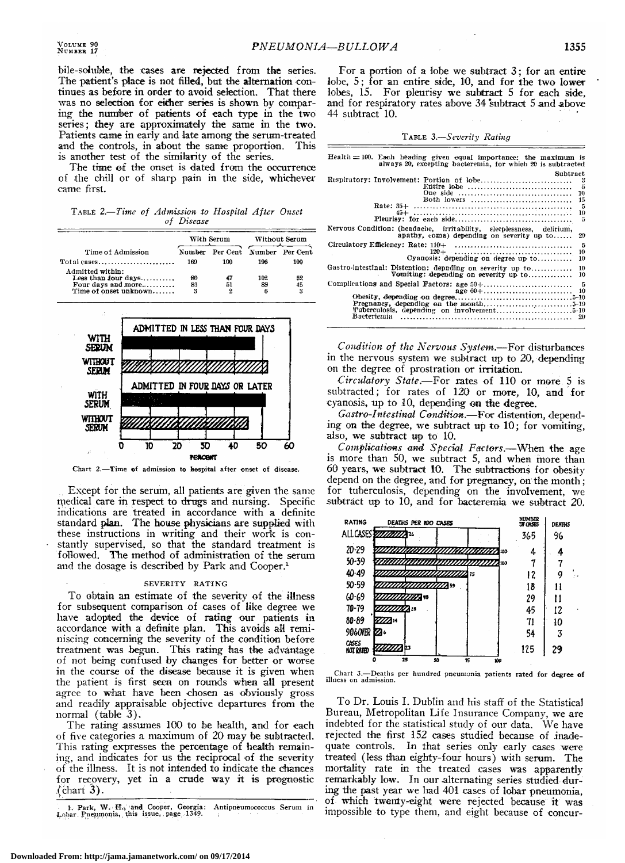bile-soluble, the cases are rejected from the series. The patient's place is not filled, but the alternation continues as before in order to avoid selection. That there was no selection for either series is shown by comparing the number of patients of each type in the two series ; they are approximately the same in the two. Patients came in early and late among the serum-treated<br>and the controls, in about the same proportion. This and the controls, in about the same proportion. is another test of the similarity of the series.

The time of the onset is dated from the occurrence of the chill or of sharp pain in the side, whichever came first.

| TABLE 2.-Time of Admission to Hospital After Onset |            |  |  |
|----------------------------------------------------|------------|--|--|
|                                                    | of Disease |  |  |



Chart 2.—Time of admission to hospital after onset of disease.

Except for the serum, all patients are given the same medical care in respect to drugs and nursing. Specific indications are treated in accordance with a definite standard plan. The house physicians are supplied with these instructions in writing and their work is constantly supervised, so that the standard treatment is followed. The method of administration of the serum and the dosage is described by Park and Cooper.1

#### SEVERITY RATING

To obtain an estimate of the severity of the illness for subsequent comparison of cases of like degree we have adopted the device of rating our patients in accordance with a definite plan. This avoids all reminiscing concerning the severity of the condition before treatment was begun. This rating has the advantage of not being confused by changes for better or worse in the course of the disease because it is given when the patient is first seen on rounds when all present agree to what have been chosen as obviously gross and readily appraisable objective departures from the normal (table 3).

The rating assumes <sup>100</sup> to be health, and for each of five categories <sup>a</sup> maximum of 20 may be subtracted. This rating expresses the percentage of health remaining, and indicates for us the reciprocal of the severity of the illness. It is not intended to indicate the chances for recovery, yet in <sup>a</sup> crude wav it is prognostic  $($ chart 3).

TABLE 3.-Severity Rating

| $-BULLOWA$                                                                                                                                                                                                                                              | 1355                                                  |
|---------------------------------------------------------------------------------------------------------------------------------------------------------------------------------------------------------------------------------------------------------|-------------------------------------------------------|
| For a portion of a lobe we subtract $3$ ; for an entire<br>lobe, 5; for an entire side, 10, and for the two lower<br>lobes, 15. For pleurisy we subtract 5 for each side,<br>and for respiratory rates above 34 subtract 5 and above<br>44 subtract 10. |                                                       |
| TABLE 3.—Severity Rating                                                                                                                                                                                                                                |                                                       |
| $Health = 100$ . Each heading given equal importance: the maximum is always 20, excepting bacteremia, for which 20 is subtracted                                                                                                                        |                                                       |
|                                                                                                                                                                                                                                                         | Subtract<br>-3<br>Entire lobe<br>5                    |
|                                                                                                                                                                                                                                                         | 10                                                    |
| Rate: $35+$                                                                                                                                                                                                                                             | Both lowers<br>15<br>-5<br>10                         |
| Nervous Condition: (headache, irritability, sleeplessness, delirium,                                                                                                                                                                                    | -5<br>apathy, coma) depending on severity up to<br>20 |
| Circulatory Efficiency: Rate: 110+<br>$_{120+}$                                                                                                                                                                                                         | -5<br>10                                              |
| Gastro-intestinal: Distention: depuding on severity up to<br>Vomiting: depending on everity up to                                                                                                                                                       | Cyanosis: depending on degree up to<br>10<br>10<br>10 |
|                                                                                                                                                                                                                                                         | -5<br>10                                              |
|                                                                                                                                                                                                                                                         | 20                                                    |
| Condition of the Nervous System.-For disturbances                                                                                                                                                                                                       |                                                       |
| in the nervous system we subtract up to 20, depending<br>on the degree of prostration or irritation.                                                                                                                                                    |                                                       |
| Circulatory State.-For rates of 110 or more 5 is                                                                                                                                                                                                        |                                                       |
| subtracted; for rates of 120 or more, 10, and for<br>cyanosis, up to 10, depending on the degree.                                                                                                                                                       |                                                       |
| Gastro-Intestinal Condition.-For distention, depend-                                                                                                                                                                                                    |                                                       |
| ing on the degree, we subtract up to 10; for vomiting,<br>also, we subtract up to 10.<br>Complications and Special Factors.-When the age                                                                                                                |                                                       |

is more than 50, we subtract 5, and when more than  $60$  years, we subtract 10. The subtractions for obesity depend on the degree, and for pregnancy, on the month; for tuberculosis, depending on the involvement, we subtract up to 10, and for bacteremia we subtract 20.



Chart 3.—Deaths per hundred pneumonia patients rated for degree of illness en admission.

To Dr. Louis I. Dublin and his staff of the Statistical Bureau, Metropolitan Life Insurance Company, we are indebted for the statistical study of our data. We have rejected the first 152 cases studied because of inadequate controls. In that series only early cases were treated (less than eighty-four hours) with serum. The mortality rate in the treated cases was apparently remarkably low. In our alternating series studied dur ing the past year we had <sup>401</sup> cases of lobar pneumonia, of which twenty-eight were rejected because it was impossible to type them, and eight because of concur-

<sup>1.</sup> Park, W. H., and Cooper, Georgia: Antipneumococcus Serum in Lobar Pneumonia, this issue, page 1349.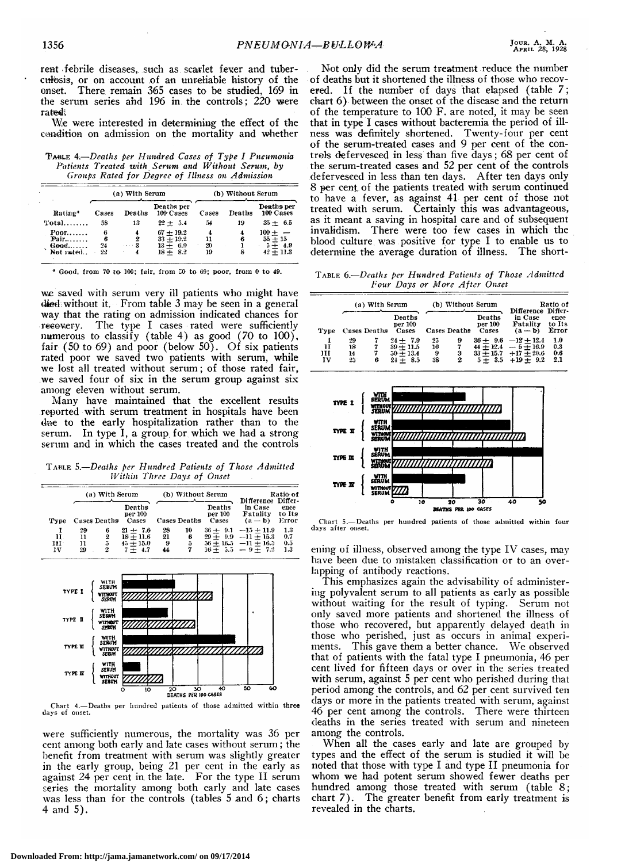rent febrile diseases, such as scarlet fever and tuberculosis, or on account of an unreliable history of the There remain 365 cases to be studied, 169 in onset. the serum series and 196 in the controls; 220 were rated.

We were interested in determining the effect of the condition on admission on the mortality and whether

TABLE 4.-Deaths per Hundred Cases of Type I Pneumonia Patients Treated with Serum and Without Serum, by Groups Rated for Degree of Illness on Admission

|                                        |                    | (a) With Serum |                                                        | (b) Without Serum |             |                                                  |  |
|----------------------------------------|--------------------|----------------|--------------------------------------------------------|-------------------|-------------|--------------------------------------------------|--|
| Ratine*                                | Cases              | Deaths         | Deaths per<br>100 Cases                                | Cases             | Deaths      | Deaths per<br>100 Cases                          |  |
| $Total$                                | 58                 | 13             | $22 + 5.4$                                             | 54                | 19          | $35 + 6.5$                                       |  |
| Poor<br>$Pair$<br>$Good$<br>Not rated. | 6<br>6<br>24<br>22 | 2<br>3         | $67 + 19.2$<br>$33 + 19.2$<br>$13 + 6.9$<br>$18 + 8.2$ | 11<br>20<br>19    | 4<br>6<br>8 | $100 +$<br>$55 + 15$<br>$5 + 4.9$<br>$42 + 11.3$ |  |

\* Good, from 70 to 100; fair, from 50 to 69; poor, from 0 to 49.

we saved with serum very ill patients who might have died without it. From table 3 may be seen in a general way that the rating on admission indicated chances for recovery. The type I cases rated were sufficiently numerous to classify (table 4) as good  $(70 \text{ to } 100)$ , fair (50 to 69) and poor (below 50). Of six patients rated poor we saved two patients with serum, while we lost all treated without serum; of those rated fair, we saved four of six in the serum group against six among eleven without serum.

Many have maintained that the excellent results reported with serum treatment in hospitals have been due to the early hospitalization rather than to the In type I, a group for which we had a strong serum. serum and in which the cases treated and the controls

TABLE 5.-Deaths per Hundred Patients of Those Admitted Within Three Days of Onset

|         | (a) With Serum |              |                             | (b) Without Serum |                     |                            | Ratio of<br>Difference Differ-                 |                         |
|---------|----------------|--------------|-----------------------------|-------------------|---------------------|----------------------------|------------------------------------------------|-------------------------|
| 'Type   |                | Cases Deaths | Deaths<br>per 100<br>Cases  |                   | <b>Cases Deaths</b> | Deaths<br>per 100<br>Cases | in Case<br>Fatality<br>$(a - b)$               | ence<br>to Its<br>Error |
| н       | 29<br>11       | 6<br>2       | $21 + 7.6$<br>$18 + 11.6$   | 28<br>21          | 10<br>6             | $36 + 9.1$                 | $-15 + 11.9$<br>$29 + 9.9 -11 + 15.3$          | $1.3\,$<br>0.7          |
| ш<br>ŀV | 11<br>29       | 5<br>2       | $45 + 15.0$<br>4.7<br>$7 +$ | 9<br>44           | õ                   |                            | $36 + 16.5 -11 + 16.5$<br>$16 + 5.5 - 9 + 7.2$ | 0.5<br>$1.3\,$          |



Chart 4.-Deaths per hundred patients of those admitted within three days of onset.

were sufficiently numerous, the mortality was 36 per cent among both early and late cases without serum; the benefit from treatment with serum was slightly greater in the early group, being 21 per cent in the early as against 24 per cent in the late. For the type II serum series the mortality among both early and late cases<br>was less than for the controls (tables 5 and 6; charts 4 and 5).

Not only did the serum treatment reduce the number of deaths but it shortened the illness of those who recovered. If the number of days that elapsed (table 7; chart 6) between the onset of the disease and the return of the temperature to 100 F, are noted, it may be seen that in type I cases without bacteremia the period of illness was definitely shortened. Twenty-four per cent of the serum-treated cases and 9 per cent of the controls defervesced in less than five days; 68 per cent of the serum-treated cases and 52 per cent of the controls defervesced in less than ten days. After ten days only 8 per cent of the patients treated with serum continued to have a fever, as against 41 per cent of those not treated with serum. Certainly this was advantageous, as it meant a saving in hospital care and of subsequent invalidism. There were too few cases in which the blood culture was positive for type I to enable us to determine the average duration of illness. The short-

TABLE 6.-Deaths per Hundred Patients of Those Admitted Four Days or More After Onset

|              |                          | (a) With Serum |                                                        |                     | (b) Without Serum |                            | Ratio of<br>Difference Differ-                                                            |                          |  |
|--------------|--------------------------|----------------|--------------------------------------------------------|---------------------|-------------------|----------------------------|-------------------------------------------------------------------------------------------|--------------------------|--|
| Type         |                          | Cases Deaths   | Deaths<br>per 100<br>Cases                             |                     | Cases Deaths      | Deaths<br>per 100<br>Cases | in Case<br>Fatality<br>$(a - b)$                                                          | ence<br>to Its<br>Error  |  |
| Ħ<br>ш<br>IV | 29<br>18<br>14<br>$25 -$ | 6              | $24 + 7.9$<br>$39 + 11.5$<br>$50 + 13.4$<br>$24 + 8.5$ | 25<br>16<br>9<br>38 | 9<br>7<br>3<br>2  | $5 + 3.5$                  | $36 + 9.6 -12 + 12.4$<br>$44 + 12.4 - 5 + 16.9$<br>$33 + 15.7 + 17 + 20.6$<br>$+19 + 9.2$ | 1.0<br>0.3<br>0.6<br>2.1 |  |



Chart 5.-Deaths per hundred patients of those admitted within four days after onset

ening of illness, observed among the type IV cases, may have been due to mistaken classification or to an overlapping of antibody reactions.

This emphasizes again the advisability of administering polyvalent serum to all patients as early as possible without waiting for the result of typing. Serum not only saved more patients and shortened the illness of those who recovered, but apparently delayed death in those who perished, just as occurs in animal experiments. This gave them a better chance. We observed that of patients with the fatal type I pneumonia, 46 per cent lived for fifteen days or over in the series treated with serum, against 5 per cent who perished during that period among the controls, and 62 per cent survived ten days or more in the patients treated with serum, against 46 per cent among the controls. There were thirteen deaths in the series treated with serum and nineteen among the controls.

When all the cases early and late are grouped by types and the effect of the serum is studied it will be noted that those with type I and type II pneumonia for whom we had potent serum showed fewer deaths per hundred among those treated with serum (table 8; chart 7). The greater benefit from early treatment is revealed in the charts.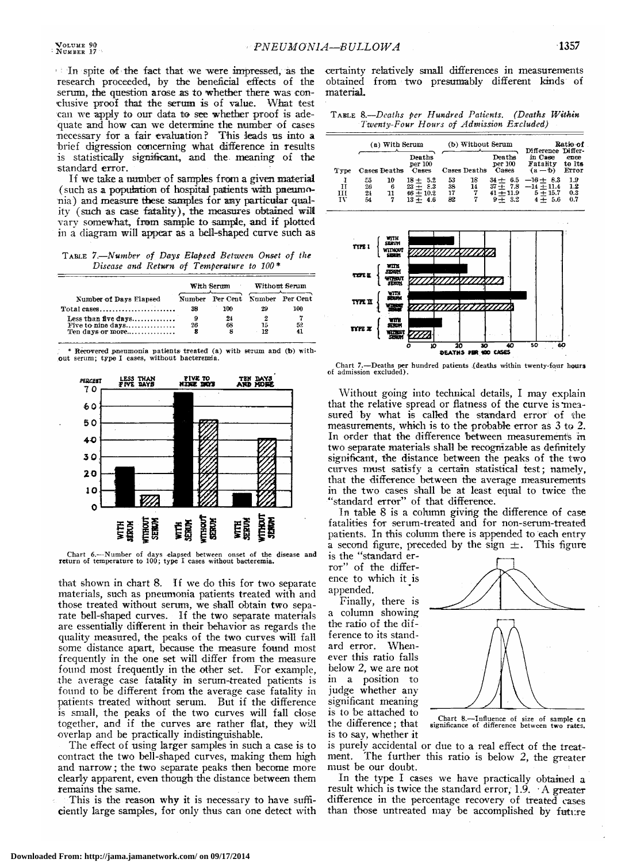In spite of the fact that we were impressed, as the research proceeded, by the beneficial effects of the serum, the question arose as to whether there was conclusive proof that the serum is of value. What test can we apply to our data to see whether proof is adequate and how can we determine the number of cases necessary for <sup>a</sup> fair evaluation ? This leads us into <sup>a</sup> brief digression concerning what difference in results is statistically significant, and the meaning of the standard error.

If we take <sup>a</sup> number of samples from <sup>a</sup> given material (such as <sup>a</sup> population of hospital patients with pneumo nia) and measure these samples for any particular qual ity (such as case fatality), the measures obtained will vary somewhat, from sample to sample, and if plotted in <sup>a</sup> diagram will appear as <sup>a</sup> bell-shaped curve such as

Table 7.—Number of Days Elapsed Between Onset of the Disease and Return of Temperature to 100\*

|                                                               |    | With Serum                        | Without Serum |     |  |
|---------------------------------------------------------------|----|-----------------------------------|---------------|-----|--|
| Number of Days Elapsed                                        |    | Number Per Cent. Number Per Cent. |               |     |  |
| $Total cases \dots \dots \dots \dots \dots \dots \dots \dots$ | 38 | 100                               | 29            | 100 |  |
| Less than five days                                           | 9  | 24                                | 2             |     |  |
| Five to nine days                                             | 26 | 68                                | 15            | 52  |  |
| Ten days or more                                              | 8  | 8                                 | 19            | 41  |  |

\* Recovered pneumonia patients treated (a) with serum and (b) with¬ out serum; type I cases, without bacteremia.



Chart 6.—Number of days elapsed between onset of the disease and return of temperature to 100; type I cases without bacteremia.

that shown in chart 8. If we do this for two separate materials, such as pneumonia patients treated with and those treated without serum, we shall obtain two separate bell-shaped curves. If the two separate materials are essentially different in their behavior as regards the quality measured, the peaks of the two curves will fall some distance apart, because the measure found most frequently in the one set will differ from the measure found most frequently in the other set. For example, the average case fatality in serum-treated patients is found to be different from the average case fatality in patients treated without serum. But if the difference is small, the peaks of the two curves will fall close together, and if the curves are rather flat, they will overlap and be practically indistinguishable.

The effect of using larger samples in such <sup>a</sup> case is to contract the two bell-shaped curves, making them high and narrow ; the two separate peaks then become more clearly apparent, even though the distance between them remains the same.

This is the reason why it is necessary to have sufficiently large samples, for only thus can one detect with

certainty relatively small differences in measurements obtained from two presumably different kinds of material.

Table 8.—Deatlis per Hundred Patients. (Deaths Within

|               |                       |                | Twenty-Four Hours of Admission Excluded)              |                      |                    |                                                      | IADLE 0, Luuno Pu IImmarca Ianchio, 1 Deanno 17 Mhni   |                          |
|---------------|-----------------------|----------------|-------------------------------------------------------|----------------------|--------------------|------------------------------------------------------|--------------------------------------------------------|--------------------------|
|               |                       | (a) With Serum |                                                       |                      | (b) Without Serum  |                                                      | Difference Differ-                                     | Ratie of                 |
| Type          |                       | Cases Deaths   | Deaths<br>per 100<br>Cases                            |                      | Cases Deaths       | Deaths<br>per 100<br>Cases                           | in Case<br>Fatality<br>$(a - b)$                       | ence<br>to Its<br>Error  |
| TΤ<br>ш<br>īν | -55<br>26<br>21<br>54 | 10<br>6<br>11  | $18 + 5.2$<br>$23 + 8.3$<br>$46 + 10.2$<br>$13 + 4.6$ | 53<br>38<br>17<br>82 | 18<br>14<br>7<br>7 | $34 + 6.5$<br>$37 + 7.8$<br>$41 + 11.9$<br>$9 + 3.2$ | $-16 + 8.3$<br>$-14 + 11.4$<br>$5 + 15.7$<br>$4 + 5.6$ | 1.9<br>1.2<br>0.3<br>0.7 |



Chart 7.—Deaths per hundred patients (deaths within twenty-four hours of admission excluded).

Without going into technical details, I may explain that the relative spread or flatness of the curve is "mea sured by what is called the standard error of the measurements, which is to the probable error as <sup>3</sup> to 2. In order that the difference between measurements in two separate materials shall be recognizable as definitely significant, the distance between the peaks of the two curves must satisfy a certain statistical test; namely, that the difference between the average measurements in the two cases shall be at least equal to twice the 'standard error" of that difference.

In table <sup>8</sup> is <sup>a</sup> column giving the difference of case fatalities for serum-treated and for non-serum-treated patients. In this column there is appended to each entry a second figure, preceded by the sign  $\pm$ . This figure is the "standard er-

ror" of the difference to which it is appended.

Finally, there is <sup>a</sup> column showing the ratio of the difference to its standard error. Whenever this ratio falls below 2, we are not in <sup>a</sup> position to judge whether any significant meaning is to be attached to the difference ; that is to say, whether it



Chart 8.—Influence of size of sample en significance of difference between two rates.

is purely accidental or due to a real effect of the treatment. The further this ratio is below 2, the greater must be our doubt.

In the type I cases we have practically obtained <sup>a</sup> result which is twice the standard error, 1.9. <sup>A</sup> greater difference in the percentage recovery of treated cases than those untreated may be accomplished by future